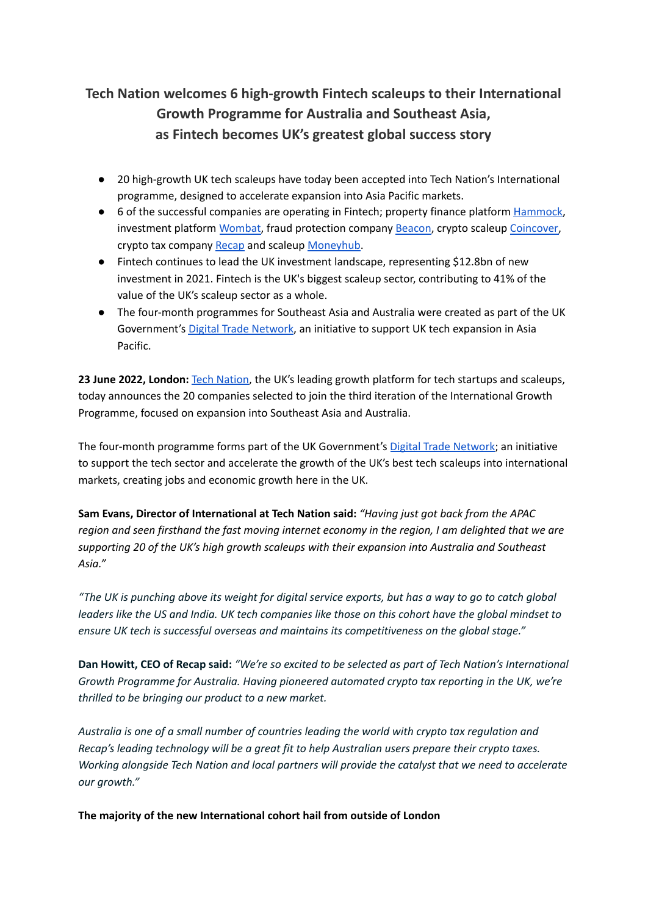# **Tech Nation welcomes 6 high-growth Fintech scaleups to their International Growth Programme for Australia and Southeast Asia, as Fintech becomes UK's greatest global success story**

- 20 high-growth UK tech scaleups have today been accepted into Tech Nation's International programme, designed to accelerate expansion into Asia Pacific markets.
- 6 of the successful companies are operating in Fintech; property finance platform [Hammock,](https://www.usehammock.com/) investment platform [Wombat](https://www.wombatinvest.com/), fraud protection company [Beacon,](https://www.thisisbeacon.com/) crypto scaleup [Coincover,](https://www.coincover.com/) crypto tax company [Recap](https://recap.io/) and scaleup [Moneyhub.](https://www.moneyhub.com/)
- Fintech continues to lead the UK investment landscape, representing \$12.8bn of new investment in 2021. Fintech is the UK's biggest scaleup sector, contributing to 41% of the value of the UK's scaleup sector as a whole.
- The four-month programmes for Southeast Asia and Australia were created as part of the UK Government's Digital Trade [Network](https://technation.io/resources/digital-trade-network-in-asia-pacific/), an initiative to support UK tech expansion in Asia Pacific.

**23 June 2022, London:** Tech [Nation](https://technation.io/), the UK's leading growth platform for tech startups and scaleups, today announces the 20 companies selected to join the third iteration of the International Growth Programme, focused on expansion into Southeast Asia and Australia.

The four-month programme forms part of the UK Government's Digital Trade [Network](https://technation.io/resources/digital-trade-network-in-asia-pacific/); an initiative to support the tech sector and accelerate the growth of the UK's best tech scaleups into international markets, creating jobs and economic growth here in the UK.

**Sam Evans, Director of International at Tech Nation said:** *"Having just got back from the APAC* region and seen firsthand the fast moving internet economy in the region, I am delighted that we are *supporting 20 of the UK's high growth scaleups with their expansion into Australia and Southeast Asia."*

"The UK is punching above its weight for digital service exports, but has a way to go to catch global leaders like the US and India. UK tech companies like those on this cohort have the global mindset to *ensure UK tech is successful overseas and maintains its competitiveness on the global stage."*

Dan Howitt, CEO of Recap said: "We're so excited to be selected as part of Tech Nation's International *Growth Programme for Australia. Having pioneered automated crypto tax reporting in the UK, we're thrilled to be bringing our product to a new market.*

*Australia is one of a small number of countries leading the world with crypto tax regulation and Recap's leading technology will be a great fit to help Australian users prepare their crypto taxes. Working alongside Tech Nation and local partners will provide the catalyst that we need to accelerate our growth."*

**The majority of the new International cohort hail from outside of London**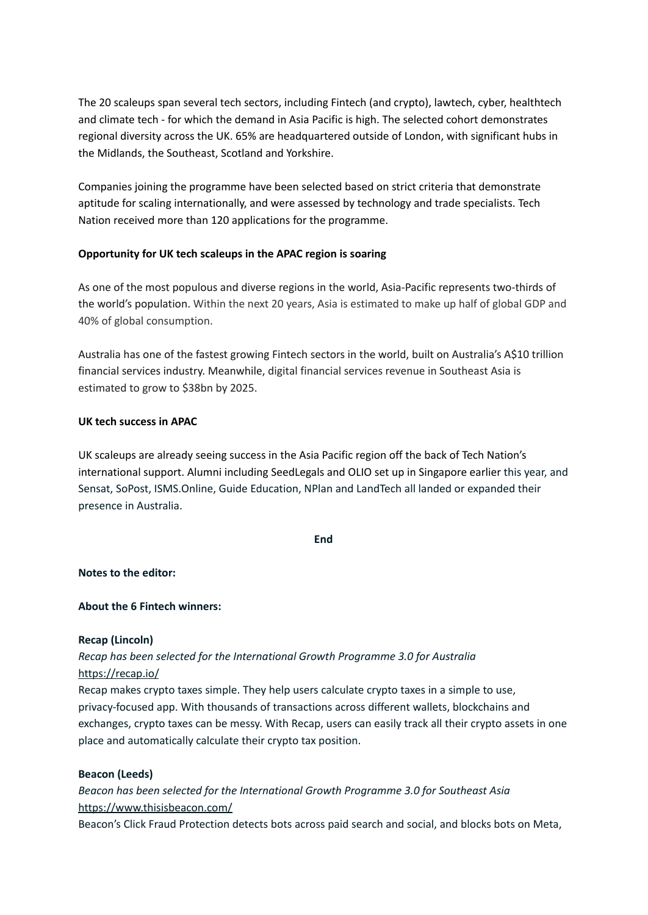The 20 scaleups span several tech sectors, including Fintech (and crypto), lawtech, cyber, healthtech and climate tech - for which the demand in Asia Pacific is high. The selected cohort demonstrates regional diversity across the UK. 65% are headquartered outside of London, with significant hubs in the Midlands, the Southeast, Scotland and Yorkshire.

Companies joining the programme have been selected based on strict criteria that demonstrate aptitude for scaling internationally, and were assessed by technology and trade specialists. Tech Nation received more than 120 applications for the programme.

# **Opportunity for UK tech scaleups in the APAC region is soaring**

As one of the most populous and diverse regions in the world, Asia-Pacific represents two-thirds of the world's population. Within the next 20 years, Asia is estimated to make up half of global GDP and 40% of global consumption.

Australia has one of the fastest growing Fintech sectors in the world, built on Australia's A\$10 trillion financial services industry. Meanwhile, digital financial services revenue in Southeast Asia is estimated to grow to \$38bn by 2025.

## **UK tech success in APAC**

UK scaleups are already seeing success in the Asia Pacific region off the back of Tech Nation's international support. Alumni including SeedLegals and OLIO set up in Singapore earlier this year, and Sensat, SoPost, ISMS.Online, Guide Education, NPlan and LandTech all landed or expanded their presence in Australia.

**End**

## **Notes to the editor:**

## **About the 6 Fintech winners:**

## **Recap (Lincoln)**

*Recap has been selected for the International Growth Programme 3.0 for Australia* <https://recap.io/>

Recap makes crypto taxes simple. They help users calculate crypto taxes in a simple to use, privacy-focused app. With thousands of transactions across different wallets, blockchains and exchanges, crypto taxes can be messy. With Recap, users can easily track all their crypto assets in one place and automatically calculate their crypto tax position.

## **Beacon (Leeds)**

*Beacon has been selected for the International Growth Programme 3.0 for Southeast Asia* <https://www.thisisbeacon.com/>

Beacon's Click Fraud Protection detects bots across paid search and social, and blocks bots on Meta,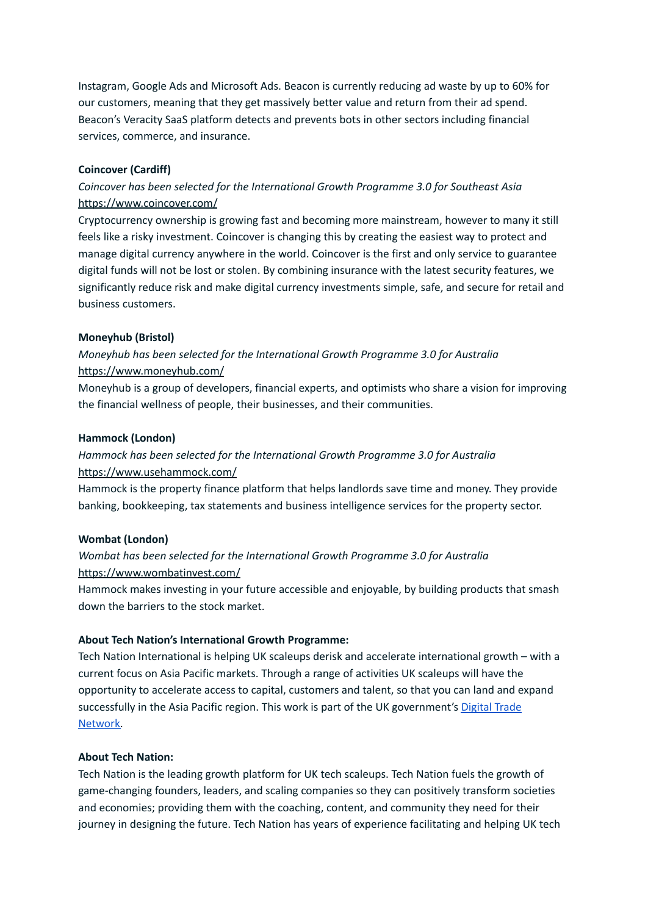Instagram, Google Ads and Microsoft Ads. Beacon is currently reducing ad waste by up to 60% for our customers, meaning that they get massively better value and return from their ad spend. Beacon's Veracity SaaS platform detects and prevents bots in other sectors including financial services, commerce, and insurance.

# **Coincover (Cardiff)**

# *Coincover has been selected for the International Growth Programme 3.0 for Southeast Asia* <https://www.coincover.com/>

Cryptocurrency ownership is growing fast and becoming more mainstream, however to many it still feels like a risky investment. Coincover is changing this by creating the easiest way to protect and manage digital currency anywhere in the world. Coincover is the first and only service to guarantee digital funds will not be lost or stolen. By combining insurance with the latest security features, we significantly reduce risk and make digital currency investments simple, safe, and secure for retail and business customers.

# **Moneyhub (Bristol)**

# *Moneyhub has been selected for the International Growth Programme 3.0 for Australia* <https://www.moneyhub.com/>

Moneyhub is a group of developers, financial experts, and optimists who share a vision for improving the financial wellness of people, their businesses, and their communities.

## **Hammock (London)**

# *Hammock has been selected for the International Growth Programme 3.0 for Australia* <https://www.usehammock.com/>

Hammock is the property finance platform that helps landlords save time and money. They provide banking, bookkeeping, tax statements and business intelligence services for the property sector.

## **Wombat (London)**

# *Wombat has been selected for the International Growth Programme 3.0 for Australia* <https://www.wombatinvest.com/>

Hammock makes investing in your future accessible and enjoyable, by building products that smash down the barriers to the stock market.

## **About Tech Nation's International Growth Programme:**

Tech Nation International is helping UK scaleups derisk and accelerate international growth – with a current focus on Asia Pacific markets. Through a range of activities UK scaleups will have the opportunity to accelerate access to capital, customers and talent, so that you can land and expand successfully in the Asia Pacific region. This work is part of the UK government's [Digital](https://technation.io/news/uk-scaleups-asia-pacific/) Trade [Network.](https://technation.io/news/uk-scaleups-asia-pacific/)

# **About Tech Nation:**

Tech Nation is the leading growth platform for UK tech scaleups. Tech Nation fuels the growth of game-changing founders, leaders, and scaling companies so they can positively transform societies and economies; providing them with the coaching, content, and community they need for their journey in designing the future. Tech Nation has years of experience facilitating and helping UK tech